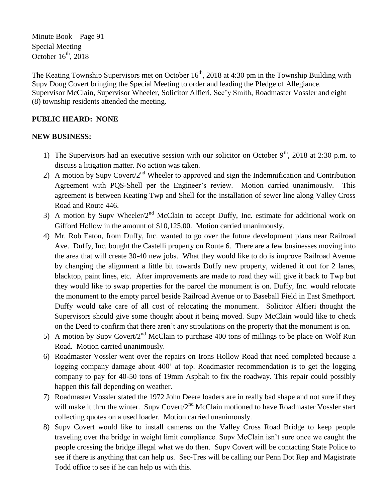Minute Book – Page 91 Special Meeting October  $16<sup>th</sup>$ , 2018

The Keating Township Supervisors met on October  $16<sup>th</sup>$ , 2018 at 4:30 pm in the Township Building with Supv Doug Covert bringing the Special Meeting to order and leading the Pledge of Allegiance. Supervisor McClain, Supervisor Wheeler, Solicitor Alfieri, Sec'y Smith, Roadmaster Vossler and eight (8) township residents attended the meeting.

## **PUBLIC HEARD: NONE**

## **NEW BUSINESS:**

- 1) The Supervisors had an executive session with our solicitor on October  $9<sup>th</sup>$ , 2018 at 2:30 p.m. to discuss a litigation matter. No action was taken.
- 2) A motion by Supy Covert/ $2<sup>nd</sup>$  Wheeler to approved and sign the Indemnification and Contribution Agreement with PQS-Shell per the Engineer's review. Motion carried unanimously. This agreement is between Keating Twp and Shell for the installation of sewer line along Valley Cross Road and Route 446.
- 3) A motion by Supv Wheeler/ $2<sup>nd</sup>$  McClain to accept Duffy, Inc. estimate for additional work on Gifford Hollow in the amount of \$10,125.00. Motion carried unanimously.
- 4) Mr. Rob Eaton, from Duffy, Inc. wanted to go over the future development plans near Railroad Ave. Duffy, Inc. bought the Castelli property on Route 6. There are a few businesses moving into the area that will create 30-40 new jobs. What they would like to do is improve Railroad Avenue by changing the alignment a little bit towards Duffy new property, widened it out for 2 lanes, blacktop, paint lines, etc. After improvements are made to road they will give it back to Twp but they would like to swap properties for the parcel the monument is on. Duffy, Inc. would relocate the monument to the empty parcel beside Railroad Avenue or to Baseball Field in East Smethport. Duffy would take care of all cost of relocating the monument. Solicitor Alfieri thought the Supervisors should give some thought about it being moved. Supv McClain would like to check on the Deed to confirm that there aren't any stipulations on the property that the monument is on.
- 5) A motion by Supv Covert/2<sup>nd</sup> McClain to purchase 400 tons of millings to be place on Wolf Run Road. Motion carried unanimously.
- 6) Roadmaster Vossler went over the repairs on Irons Hollow Road that need completed because a logging company damage about 400' at top. Roadmaster recommendation is to get the logging company to pay for 40-50 tons of 19mm Asphalt to fix the roadway. This repair could possibly happen this fall depending on weather.
- 7) Roadmaster Vossler stated the 1972 John Deere loaders are in really bad shape and not sure if they will make it thru the winter. Supv Covert/2<sup>nd</sup> McClain motioned to have Roadmaster Vossler start collecting quotes on a used loader. Motion carried unanimously.
- 8) Supv Covert would like to install cameras on the Valley Cross Road Bridge to keep people traveling over the bridge in weight limit compliance. Supv McClain isn't sure once we caught the people crossing the bridge illegal what we do then. Supv Covert will be contacting State Police to see if there is anything that can help us. Sec-Tres will be calling our Penn Dot Rep and Magistrate Todd office to see if he can help us with this.